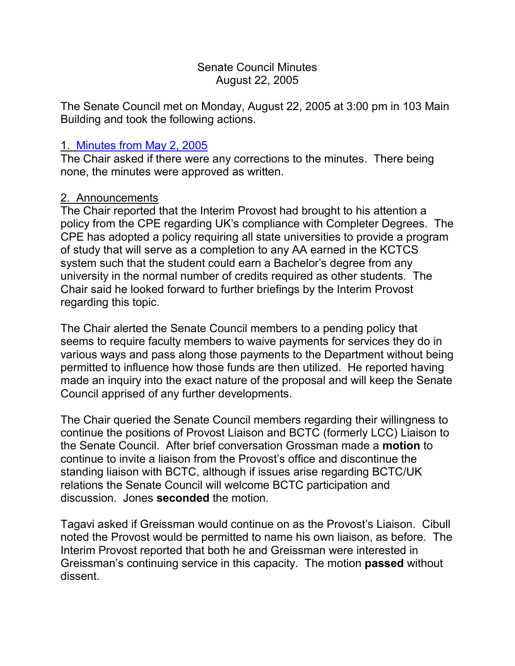#### Senate Council Minutes August 22, 2005

The Senate Council met on Monday, August 22, 2005 at 3:00 pm in 103 Main Building and took the following actions.

### 1. [Minutes from](http://www.uky.edu/USC/New/SCMinutes/SC%20Minutes%20May%202%202005%20TOSC.htm) May 2, 2005

The Chair asked if there were any corrections to the minutes. There being none, the minutes were approved as written.

### 2. Announcements

The Chair reported that the Interim Provost had brought to his attention a policy from the CPE regarding UK's compliance with Completer Degrees. The CPE has adopted a policy requiring all state universities to provide a program of study that will serve as a completion to any AA earned in the KCTCS system such that the student could earn a Bachelor's degree from any university in the normal number of credits required as other students. The Chair said he looked forward to further briefings by the Interim Provost regarding this topic.

The Chair alerted the Senate Council members to a pending policy that seems to require faculty members to waive payments for services they do in various ways and pass along those payments to the Department without being permitted to influence how those funds are then utilized. He reported having made an inquiry into the exact nature of the proposal and will keep the Senate Council apprised of any further developments.

The Chair queried the Senate Council members regarding their willingness to continue the positions of Provost Liaison and BCTC (formerly LCC) Liaison to the Senate Council. After brief conversation Grossman made a **motion** to continue to invite a liaison from the Provost's office and discontinue the standing liaison with BCTC, although if issues arise regarding BCTC/UK relations the Senate Council will welcome BCTC participation and discussion. Jones **seconded** the motion.

Tagavi asked if Greissman would continue on as the Provost's Liaison. Cibull noted the Provost would be permitted to name his own liaison, as before. The Interim Provost reported that both he and Greissman were interested in Greissman's continuing service in this capacity. The motion **passed** without dissent.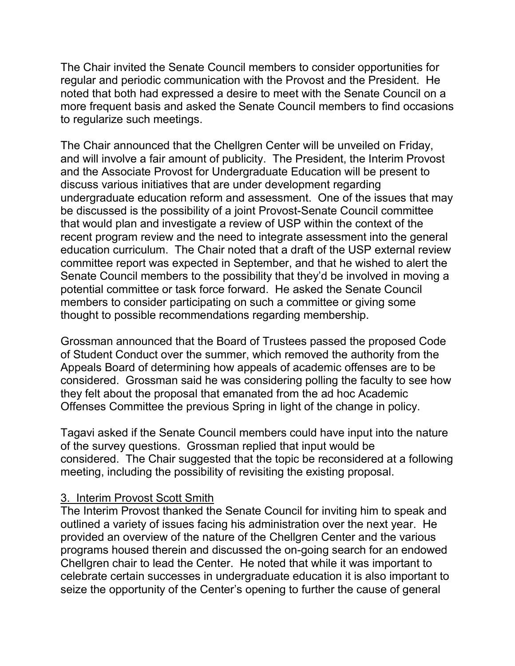The Chair invited the Senate Council members to consider opportunities for regular and periodic communication with the Provost and the President. He noted that both had expressed a desire to meet with the Senate Council on a more frequent basis and asked the Senate Council members to find occasions to regularize such meetings.

The Chair announced that the Chellgren Center will be unveiled on Friday, and will involve a fair amount of publicity. The President, the Interim Provost and the Associate Provost for Undergraduate Education will be present to discuss various initiatives that are under development regarding undergraduate education reform and assessment. One of the issues that may be discussed is the possibility of a joint Provost-Senate Council committee that would plan and investigate a review of USP within the context of the recent program review and the need to integrate assessment into the general education curriculum. The Chair noted that a draft of the USP external review committee report was expected in September, and that he wished to alert the Senate Council members to the possibility that they'd be involved in moving a potential committee or task force forward. He asked the Senate Council members to consider participating on such a committee or giving some thought to possible recommendations regarding membership.

Grossman announced that the Board of Trustees passed the proposed Code of Student Conduct over the summer, which removed the authority from the Appeals Board of determining how appeals of academic offenses are to be considered. Grossman said he was considering polling the faculty to see how they felt about the proposal that emanated from the ad hoc Academic Offenses Committee the previous Spring in light of the change in policy.

Tagavi asked if the Senate Council members could have input into the nature of the survey questions. Grossman replied that input would be considered. The Chair suggested that the topic be reconsidered at a following meeting, including the possibility of revisiting the existing proposal.

#### 3. Interim Provost Scott Smith

The Interim Provost thanked the Senate Council for inviting him to speak and outlined a variety of issues facing his administration over the next year. He provided an overview of the nature of the Chellgren Center and the various programs housed therein and discussed the on-going search for an endowed Chellgren chair to lead the Center. He noted that while it was important to celebrate certain successes in undergraduate education it is also important to seize the opportunity of the Center's opening to further the cause of general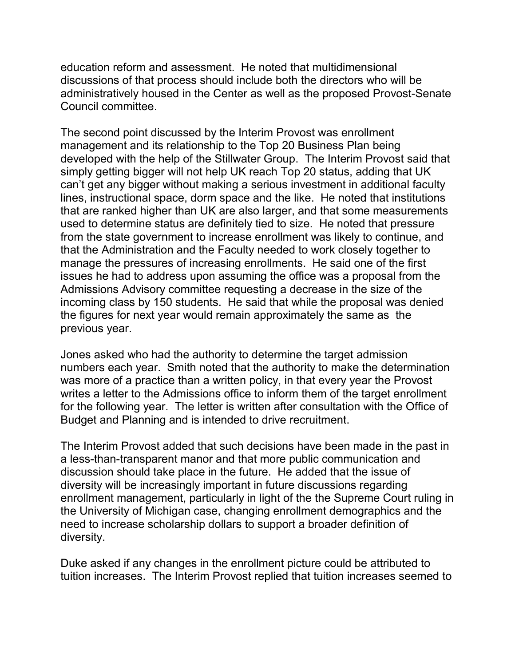education reform and assessment. He noted that multidimensional discussions of that process should include both the directors who will be administratively housed in the Center as well as the proposed Provost-Senate Council committee.

The second point discussed by the Interim Provost was enrollment management and its relationship to the Top 20 Business Plan being developed with the help of the Stillwater Group. The Interim Provost said that simply getting bigger will not help UK reach Top 20 status, adding that UK can't get any bigger without making a serious investment in additional faculty lines, instructional space, dorm space and the like. He noted that institutions that are ranked higher than UK are also larger, and that some measurements used to determine status are definitely tied to size. He noted that pressure from the state government to increase enrollment was likely to continue, and that the Administration and the Faculty needed to work closely together to manage the pressures of increasing enrollments. He said one of the first issues he had to address upon assuming the office was a proposal from the Admissions Advisory committee requesting a decrease in the size of the incoming class by 150 students. He said that while the proposal was denied the figures for next year would remain approximately the same as the previous year.

Jones asked who had the authority to determine the target admission numbers each year. Smith noted that the authority to make the determination was more of a practice than a written policy, in that every year the Provost writes a letter to the Admissions office to inform them of the target enrollment for the following year. The letter is written after consultation with the Office of Budget and Planning and is intended to drive recruitment.

The Interim Provost added that such decisions have been made in the past in a less-than-transparent manor and that more public communication and discussion should take place in the future. He added that the issue of diversity will be increasingly important in future discussions regarding enrollment management, particularly in light of the the Supreme Court ruling in the University of Michigan case, changing enrollment demographics and the need to increase scholarship dollars to support a broader definition of diversity.

Duke asked if any changes in the enrollment picture could be attributed to tuition increases. The Interim Provost replied that tuition increases seemed to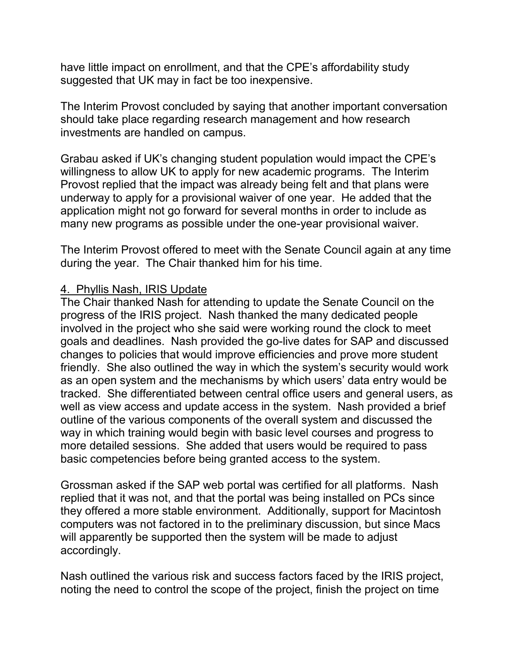have little impact on enrollment, and that the CPE's affordability study suggested that UK may in fact be too inexpensive.

The Interim Provost concluded by saying that another important conversation should take place regarding research management and how research investments are handled on campus.

Grabau asked if UK's changing student population would impact the CPE's willingness to allow UK to apply for new academic programs. The Interim Provost replied that the impact was already being felt and that plans were underway to apply for a provisional waiver of one year. He added that the application might not go forward for several months in order to include as many new programs as possible under the one-year provisional waiver.

The Interim Provost offered to meet with the Senate Council again at any time during the year. The Chair thanked him for his time.

#### 4. Phyllis Nash, IRIS Update

The Chair thanked Nash for attending to update the Senate Council on the progress of the IRIS project. Nash thanked the many dedicated people involved in the project who she said were working round the clock to meet goals and deadlines. Nash provided the go-live dates for SAP and discussed changes to policies that would improve efficiencies and prove more student friendly. She also outlined the way in which the system's security would work as an open system and the mechanisms by which users' data entry would be tracked. She differentiated between central office users and general users, as well as view access and update access in the system. Nash provided a brief outline of the various components of the overall system and discussed the way in which training would begin with basic level courses and progress to more detailed sessions. She added that users would be required to pass basic competencies before being granted access to the system.

Grossman asked if the SAP web portal was certified for all platforms. Nash replied that it was not, and that the portal was being installed on PCs since they offered a more stable environment. Additionally, support for Macintosh computers was not factored in to the preliminary discussion, but since Macs will apparently be supported then the system will be made to adjust accordingly.

Nash outlined the various risk and success factors faced by the IRIS project, noting the need to control the scope of the project, finish the project on time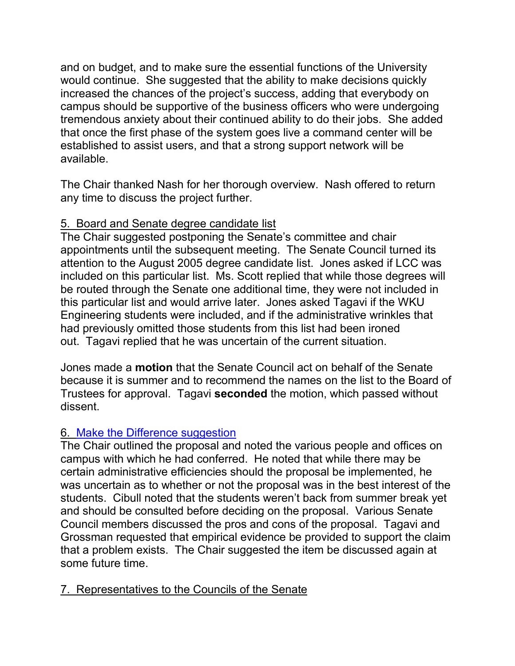and on budget, and to make sure the essential functions of the University would continue. She suggested that the ability to make decisions quickly increased the chances of the project's success, adding that everybody on campus should be supportive of the business officers who were undergoing tremendous anxiety about their continued ability to do their jobs. She added that once the first phase of the system goes live a command center will be established to assist users, and that a strong support network will be available.

The Chair thanked Nash for her thorough overview. Nash offered to return any time to discuss the project further.

# 5. Board and Senate degree candidate list

The Chair suggested postponing the Senate's committee and chair appointments until the subsequent meeting. The Senate Council turned its attention to the August 2005 degree candidate list. Jones asked if LCC was included on this particular list. Ms. Scott replied that while those degrees will be routed through the Senate one additional time, they were not included in this particular list and would arrive later. Jones asked Tagavi if the WKU Engineering students were included, and if the administrative wrinkles that had previously omitted those students from this list had been ironed out. Tagavi replied that he was uncertain of the current situation.

Jones made a **motion** that the Senate Council act on behalf of the Senate because it is summer and to recommend the names on the list to the Board of Trustees for approval. Tagavi **seconded** the motion, which passed without dissent.

## 6. [Make the Difference suggestion](http://www.uky.edu/USC/New/SCAgendas/20050822/167-Suggestion%20(2).doc)

The Chair outlined the proposal and noted the various people and offices on campus with which he had conferred. He noted that while there may be certain administrative efficiencies should the proposal be implemented, he was uncertain as to whether or not the proposal was in the best interest of the students. Cibull noted that the students weren't back from summer break yet and should be consulted before deciding on the proposal. Various Senate Council members discussed the pros and cons of the proposal. Tagavi and Grossman requested that empirical evidence be provided to support the claim that a problem exists. The Chair suggested the item be discussed again at some future time.

## 7. Representatives to the Councils of the Senate